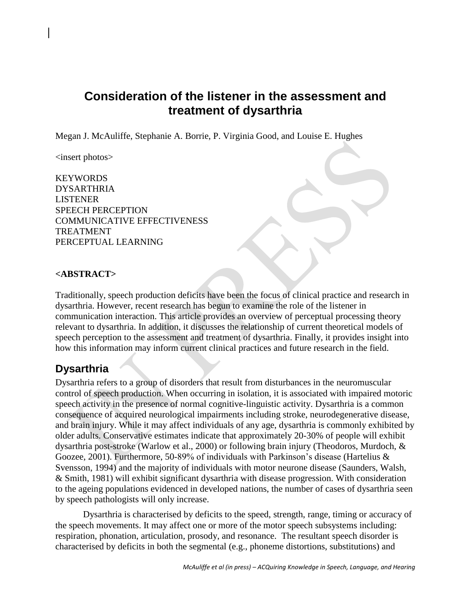# **Consideration of the listener in the assessment and treatment of dysarthria**

Megan J. McAuliffe, Stephanie A. Borrie, P. Virginia Good, and Louise E. Hughes

<insert photos>

**KEYWORDS** DYSARTHRIA LISTENER SPEECH PERCEPTION COMMUNICATIVE EFFECTIVENESS TREATMENT PERCEPTUAL LEARNING

#### **<ABSTRACT>**

Traditionally, speech production deficits have been the focus of clinical practice and research in dysarthria. However, recent research has begun to examine the role of the listener in communication interaction. This article provides an overview of perceptual processing theory relevant to dysarthria. In addition, it discusses the relationship of current theoretical models of speech perception to the assessment and treatment of dysarthria. Finally, it provides insight into how this information may inform current clinical practices and future research in the field.

## **Dysarthria**

Dysarthria refers to a group of disorders that result from disturbances in the neuromuscular control of speech production. When occurring in isolation, it is associated with impaired motoric speech activity in the presence of normal cognitive-linguistic activity. Dysarthria is a common consequence of acquired neurological impairments including stroke, neurodegenerative disease, and brain injury. While it may affect individuals of any age, dysarthria is commonly exhibited by older adults. Conservative estimates indicate that approximately 20-30% of people will exhibit dysarthria post-stroke (Warlow et al., 2000) or following brain injury (Theodoros, Murdoch, & Goozee, 2001). Furthermore, 50-89% of individuals with Parkinson's disease (Hartelius  $\&$ Svensson, 1994) and the majority of individuals with motor neurone disease (Saunders, Walsh, & Smith, 1981) will exhibit significant dysarthria with disease progression. With consideration to the ageing populations evidenced in developed nations, the number of cases of dysarthria seen by speech pathologists will only increase.

Dysarthria is characterised by deficits to the speed, strength, range, timing or accuracy of the speech movements. It may affect one or more of the motor speech subsystems including: respiration, phonation, articulation, prosody, and resonance. The resultant speech disorder is characterised by deficits in both the segmental (e.g., phoneme distortions, substitutions) and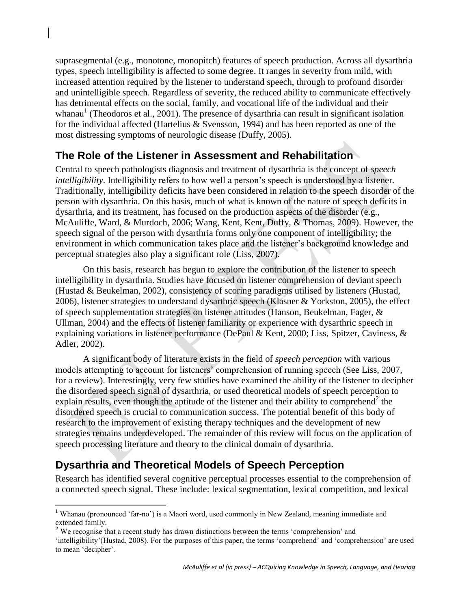suprasegmental (e.g., monotone, monopitch) features of speech production. Across all dysarthria types, speech intelligibility is affected to some degree. It ranges in severity from mild, with increased attention required by the listener to understand speech, through to profound disorder and unintelligible speech. Regardless of severity, the reduced ability to communicate effectively has detrimental effects on the social, family, and vocational life of the individual and their whanau<sup>1</sup> (Theodoros et al., 2001). The presence of dysarthria can result in significant isolation for the individual affected (Hartelius & Svensson, 1994) and has been reported as one of the most distressing symptoms of neurologic disease (Duffy, 2005).

## **The Role of the Listener in Assessment and Rehabilitation**

Central to speech pathologists diagnosis and treatment of dysarthria is the concept of *speech intelligibility*. Intelligibility refers to how well a person's speech is understood by a listener. Traditionally, intelligibility deficits have been considered in relation to the speech disorder of the person with dysarthria. On this basis, much of what is known of the nature of speech deficits in dysarthria, and its treatment, has focused on the production aspects of the disorder (e.g., McAuliffe, Ward, & Murdoch, 2006; Wang, Kent, Kent, Duffy, & Thomas, 2009). However, the speech signal of the person with dysarthria forms only one component of intelligibility; the environment in which communication takes place and the listener"s background knowledge and perceptual strategies also play a significant role (Liss, 2007).

On this basis, research has begun to explore the contribution of the listener to speech intelligibility in dysarthria. Studies have focused on listener comprehension of deviant speech (Hustad & Beukelman, 2002), consistency of scoring paradigms utilised by listeners (Hustad, 2006), listener strategies to understand dysarthric speech (Klasner & Yorkston, 2005), the effect of speech supplementation strategies on listener attitudes (Hanson, Beukelman, Fager, & Ullman, 2004) and the effects of listener familiarity or experience with dysarthric speech in explaining variations in listener performance (DePaul & Kent, 2000; Liss, Spitzer, Caviness, & Adler, 2002).

A significant body of literature exists in the field of *speech perception* with various models attempting to account for listeners' comprehension of running speech (See Liss, 2007, for a review). Interestingly, very few studies have examined the ability of the listener to decipher the disordered speech signal of dysarthria, or used theoretical models of speech perception to explain results, even though the aptitude of the listener and their ability to comprehend<sup>2</sup> the disordered speech is crucial to communication success. The potential benefit of this body of research to the improvement of existing therapy techniques and the development of new strategies remains underdeveloped. The remainder of this review will focus on the application of speech processing literature and theory to the clinical domain of dysarthria.

# **Dysarthria and Theoretical Models of Speech Perception**

Research has identified several cognitive perceptual processes essential to the comprehension of a connected speech signal. These include: lexical segmentation, lexical competition, and lexical

 $\overline{a}$ <sup>1</sup> Whanau (pronounced 'far-no') is a Maori word, used commonly in New Zealand, meaning immediate and extended family.

 $2$  We recognise that a recent study has drawn distinctions between the terms 'comprehension' and

<sup>&</sup>quot;intelligibility"(Hustad, 2008). For the purposes of this paper, the terms "comprehend" and "comprehension" are used to mean 'decipher'.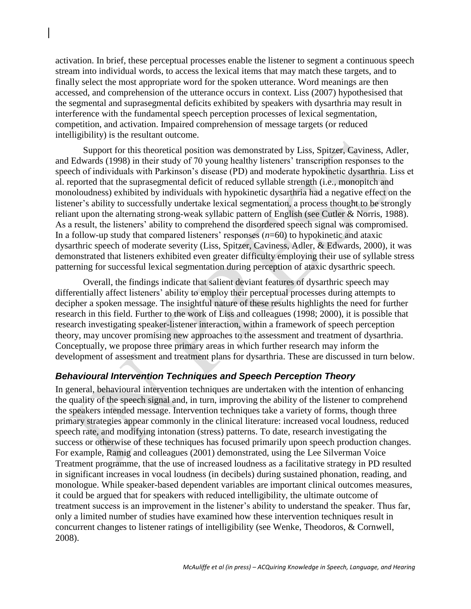activation. In brief, these perceptual processes enable the listener to segment a continuous speech stream into individual words, to access the lexical items that may match these targets, and to finally select the most appropriate word for the spoken utterance. Word meanings are then accessed, and comprehension of the utterance occurs in context. Liss (2007) hypothesised that the segmental and suprasegmental deficits exhibited by speakers with dysarthria may result in interference with the fundamental speech perception processes of lexical segmentation, competition, and activation. Impaired comprehension of message targets (or reduced intelligibility) is the resultant outcome.

Support for this theoretical position was demonstrated by Liss, Spitzer, Caviness, Adler, and Edwards (1998) in their study of 70 young healthy listeners' transcription responses to the speech of individuals with Parkinson"s disease (PD) and moderate hypokinetic dysarthria. Liss et al. reported that the suprasegmental deficit of reduced syllable strength (i.e., monopitch and monoloudness) exhibited by individuals with hypokinetic dysarthria had a negative effect on the listener's ability to successfully undertake lexical segmentation, a process thought to be strongly reliant upon the alternating strong-weak syllabic pattern of English (see Cutler & Norris, 1988). As a result, the listeners' ability to comprehend the disordered speech signal was compromised. In a follow-up study that compared listeners' responses  $(n=60)$  to hypokinetic and ataxic dysarthric speech of moderate severity (Liss, Spitzer, Caviness, Adler, & Edwards, 2000), it was demonstrated that listeners exhibited even greater difficulty employing their use of syllable stress patterning for successful lexical segmentation during perception of ataxic dysarthric speech.

Overall, the findings indicate that salient deviant features of dysarthric speech may differentially affect listeners' ability to employ their perceptual processes during attempts to decipher a spoken message. The insightful nature of these results highlights the need for further research in this field. Further to the work of Liss and colleagues (1998; 2000), it is possible that research investigating speaker-listener interaction, within a framework of speech perception theory, may uncover promising new approaches to the assessment and treatment of dysarthria. Conceptually, we propose three primary areas in which further research may inform the development of assessment and treatment plans for dysarthria. These are discussed in turn below.

### *Behavioural Intervention Techniques and Speech Perception Theory*

In general, behavioural intervention techniques are undertaken with the intention of enhancing the quality of the speech signal and, in turn, improving the ability of the listener to comprehend the speakers intended message. Intervention techniques take a variety of forms, though three primary strategies appear commonly in the clinical literature: increased vocal loudness, reduced speech rate, and modifying intonation (stress) patterns. To date, research investigating the success or otherwise of these techniques has focused primarily upon speech production changes. For example, Ramig and colleagues (2001) demonstrated, using the Lee Silverman Voice Treatment programme, that the use of increased loudness as a facilitative strategy in PD resulted in significant increases in vocal loudness (in decibels) during sustained phonation, reading, and monologue. While speaker-based dependent variables are important clinical outcomes measures, it could be argued that for speakers with reduced intelligibility, the ultimate outcome of treatment success is an improvement in the listener"s ability to understand the speaker. Thus far, only a limited number of studies have examined how these intervention techniques result in concurrent changes to listener ratings of intelligibility (see Wenke, Theodoros, & Cornwell, 2008).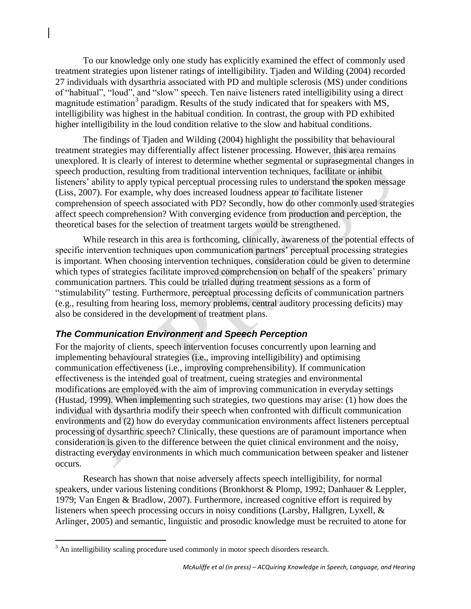To our knowledge only one study has explicitly examined the effect of commonly used treatment strategies upon listener ratings of intelligibility. Tjaden and Wilding (2004) recorded 27 individuals with dysarthria associated with PD and multiple sclerosis (MS) under conditions of "habitual", "loud", and "slow" speech. Ten naive listeners rated intelligibility using a direct magnitude estimation<sup>3</sup> paradigm. Results of the study indicated that for speakers with MS, intelligibility was highest in the habitual condition. In contrast, the group with PD exhibited higher intelligibility in the loud condition relative to the slow and habitual conditions.

The findings of Tjaden and Wilding (2004) highlight the possibility that behavioural treatment strategies may differentially affect listener processing. However, this area remains unexplored. It is clearly of interest to determine whether segmental or suprasegmental changes in speech production, resulting from traditional intervention techniques, facilitate or inhibit listeners' ability to apply typical perceptual processing rules to understand the spoken message (Liss, 2007). For example, why does increased loudness appear to facilitate listener comprehension of speech associated with PD? Secondly, how do other commonly used strategies affect speech comprehension? With converging evidence from production and perception, the theoretical bases for the selection of treatment targets would be strengthened.

While research in this area is forthcoming, clinically, awareness of the potential effects of specific intervention techniques upon communication partners' perceptual processing strategies is important. When choosing intervention techniques, consideration could be given to determine which types of strategies facilitate improved comprehension on behalf of the speakers' primary communication partners. This could be trialled during treatment sessions as a form of "stimulability" testing. Furthermore, perceptual processing deficits of communication partners (e.g., resulting from hearing loss, memory problems, central auditory processing deficits) may also be considered in the development of treatment plans.

### *The Communication Environment and Speech Perception*

For the majority of clients, speech intervention focuses concurrently upon learning and implementing behavioural strategies (i.e., improving intelligibility) and optimising communication effectiveness (i.e., improving comprehensibility). If communication effectiveness is the intended goal of treatment, cueing strategies and environmental modifications are employed with the aim of improving communication in everyday settings (Hustad, 1999). When implementing such strategies, two questions may arise: (1) how does the individual with dysarthria modify their speech when confronted with difficult communication environments and (2) how do everyday communication environments affect listeners perceptual processing of dysarthric speech? Clinically, these questions are of paramount importance when consideration is given to the difference between the quiet clinical environment and the noisy, distracting everyday environments in which much communication between speaker and listener occurs.

Research has shown that noise adversely affects speech intelligibility, for normal speakers, under various listening conditions (Bronkhorst & Plomp, 1992; Danhauer & Leppler, 1979; Van Engen & Bradlow, 2007). Furthermore, increased cognitive effort is required by listeners when speech processing occurs in noisy conditions (Larsby, Hallgren, Lyxell, & Arlinger, 2005) and semantic, linguistic and prosodic knowledge must be recruited to atone for

 $\overline{a}$  $3$  An intelligibility scaling procedure used commonly in motor speech disorders research.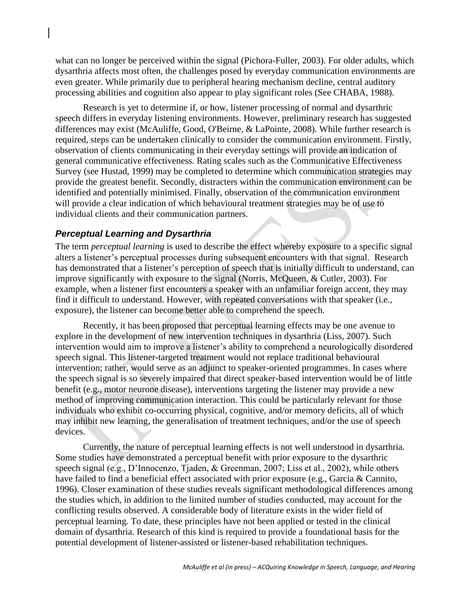what can no longer be perceived within the signal (Pichora-Fuller, 2003). For older adults, which dysarthria affects most often, the challenges posed by everyday communication environments are even greater. While primarily due to peripheral hearing mechanism decline, central auditory processing abilities and cognition also appear to play significant roles (See CHABA, 1988).

Research is yet to determine if, or how, listener processing of normal and dysarthric speech differs in everyday listening environments. However, preliminary research has suggested differences may exist (McAuliffe, Good, O'Beirne, & LaPointe, 2008). While further research is required, steps can be undertaken clinically to consider the communication environment. Firstly, observation of clients communicating in their everyday settings will provide an indication of general communicative effectiveness. Rating scales such as the Communicative Effectiveness Survey (see Hustad, 1999) may be completed to determine which communication strategies may provide the greatest benefit. Secondly, distracters within the communication environment can be identified and potentially minimised. Finally, observation of the communication environment will provide a clear indication of which behavioural treatment strategies may be of use to individual clients and their communication partners.

#### *Perceptual Learning and Dysarthria*

The term *perceptual learning* is used to describe the effect whereby exposure to a specific signal alters a listener"s perceptual processes during subsequent encounters with that signal. Research has demonstrated that a listener's perception of speech that is initially difficult to understand, can improve significantly with exposure to the signal (Norris, McQueen, & Cutler, 2003). For example, when a listener first encounters a speaker with an unfamiliar foreign accent, they may find it difficult to understand. However, with repeated conversations with that speaker (i.e., exposure), the listener can become better able to comprehend the speech.

Recently, it has been proposed that perceptual learning effects may be one avenue to explore in the development of new intervention techniques in dysarthria (Liss, 2007). Such intervention would aim to improve a listener's ability to comprehend a neurologically disordered speech signal. This listener-targeted treatment would not replace traditional behavioural intervention; rather, would serve as an adjunct to speaker-oriented programmes. In cases where the speech signal is so severely impaired that direct speaker-based intervention would be of little benefit (e.g., motor neurone disease), interventions targeting the listener may provide a new method of improving communication interaction. This could be particularly relevant for those individuals who exhibit co-occurring physical, cognitive, and/or memory deficits, all of which may inhibit new learning, the generalisation of treatment techniques, and/or the use of speech devices.

Currently, the nature of perceptual learning effects is not well understood in dysarthria. Some studies have demonstrated a perceptual benefit with prior exposure to the dysarthric speech signal (e.g., D"Innocenzo, Tjaden, & Greenman, 2007; Liss et al., 2002), while others have failed to find a beneficial effect associated with prior exposure (e.g., Garcia & Cannito, 1996). Closer examination of these studies reveals significant methodological differences among the studies which, in addition to the limited number of studies conducted, may account for the conflicting results observed. A considerable body of literature exists in the wider field of perceptual learning. To date, these principles have not been applied or tested in the clinical domain of dysarthria. Research of this kind is required to provide a foundational basis for the potential development of listener-assisted or listener-based rehabilitation techniques.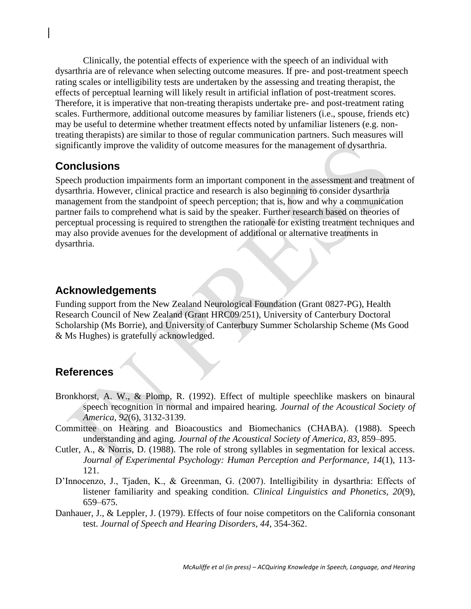Clinically, the potential effects of experience with the speech of an individual with dysarthria are of relevance when selecting outcome measures. If pre- and post-treatment speech rating scales or intelligibility tests are undertaken by the assessing and treating therapist, the effects of perceptual learning will likely result in artificial inflation of post-treatment scores. Therefore, it is imperative that non-treating therapists undertake pre- and post-treatment rating scales. Furthermore, additional outcome measures by familiar listeners (i.e., spouse, friends etc) may be useful to determine whether treatment effects noted by unfamiliar listeners (e.g. nontreating therapists) are similar to those of regular communication partners. Such measures will significantly improve the validity of outcome measures for the management of dysarthria.

## **Conclusions**

Speech production impairments form an important component in the assessment and treatment of dysarthria. However, clinical practice and research is also beginning to consider dysarthria management from the standpoint of speech perception; that is, how and why a communication partner fails to comprehend what is said by the speaker. Further research based on theories of perceptual processing is required to strengthen the rationale for existing treatment techniques and may also provide avenues for the development of additional or alternative treatments in dysarthria.

## **Acknowledgements**

Funding support from the New Zealand Neurological Foundation (Grant 0827-PG), Health Research Council of New Zealand (Grant HRC09/251), University of Canterbury Doctoral Scholarship (Ms Borrie), and University of Canterbury Summer Scholarship Scheme (Ms Good & Ms Hughes) is gratefully acknowledged.

## **References**

- Bronkhorst, A. W., & Plomp, R. (1992). Effect of multiple speechlike maskers on binaural speech recognition in normal and impaired hearing. *Journal of the Acoustical Society of America, 92*(6), 3132-3139.
- Committee on Hearing and Bioacoustics and Biomechanics (CHABA). (1988). Speech understanding and aging. *Journal of the Acoustical Society of America, 83*, 859–895.
- Cutler, A., & Norris, D. (1988). The role of strong syllables in segmentation for lexical access. *Journal of Experimental Psychology: Human Perception and Performance, 14*(1), 113- 121.
- D"Innocenzo, J., Tjaden, K., & Greenman, G. (2007). Intelligibility in dysarthria: Effects of listener familiarity and speaking condition. *Clinical Linguistics and Phonetics, 20*(9), 659–675.
- Danhauer, J., & Leppler, J. (1979). Effects of four noise competitors on the California consonant test. *Journal of Speech and Hearing Disorders, 44*, 354-362.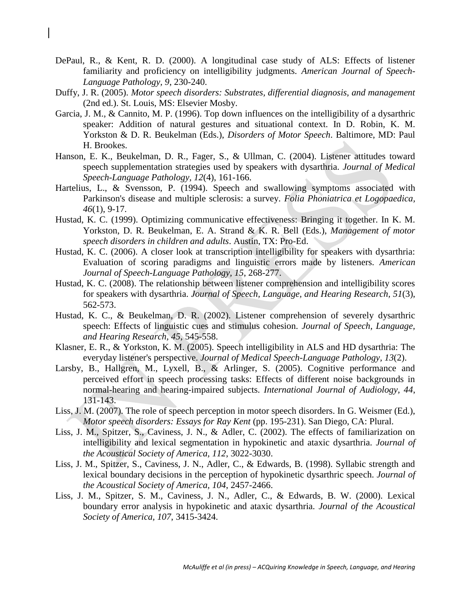- DePaul, R., & Kent, R. D. (2000). A longitudinal case study of ALS: Effects of listener familiarity and proficiency on intelligibility judgments. *American Journal of Speech-Language Pathology, 9*, 230-240.
- Duffy, J. R. (2005). *Motor speech disorders: Substrates, differential diagnosis, and management* (2nd ed.). St. Louis, MS: Elsevier Mosby.
- Garcia, J. M., & Cannito, M. P. (1996). Top down influences on the intelligibility of a dysarthric speaker: Addition of natural gestures and situational context. In D. Robin, K. M. Yorkston & D. R. Beukelman (Eds.), *Disorders of Motor Speech*. Baltimore, MD: Paul H. Brookes.
- Hanson, E. K., Beukelman, D. R., Fager, S., & Ullman, C. (2004). Listener attitudes toward speech supplementation strategies used by speakers with dysarthria. *Journal of Medical Speech-Language Pathology, 12*(4), 161-166.
- Hartelius, L., & Svensson, P. (1994). Speech and swallowing symptoms associated with Parkinson's disease and multiple sclerosis: a survey. *Folia Phoniatrica et Logopaedica, 46*(1), 9-17.
- Hustad, K. C. (1999). Optimizing communicative effectiveness: Bringing it together. In K. M. Yorkston, D. R. Beukelman, E. A. Strand & K. R. Bell (Eds.), *Management of motor speech disorders in children and adults*. Austin, TX: Pro-Ed.
- Hustad, K. C. (2006). A closer look at transcription intelligibility for speakers with dysarthria: Evaluation of scoring paradigms and linguistic errors made by listeners. *American Journal of Speech-Language Pathology, 15*, 268-277.
- Hustad, K. C. (2008). The relationship between listener comprehension and intelligibility scores for speakers with dysarthria. *Journal of Speech, Language, and Hearing Research, 51*(3), 562-573.
- Hustad, K. C., & Beukelman, D. R. (2002). Listener comprehension of severely dysarthric speech: Effects of linguistic cues and stimulus cohesion. *Journal of Speech, Language, and Hearing Research, 45*, 545-558.
- Klasner, E. R., & Yorkston, K. M. (2005). Speech intelligibility in ALS and HD dysarthria: The everyday listener's perspective. *Journal of Medical Speech-Language Pathology, 13*(2).
- Larsby, B., Hallgren, M., Lyxell, B., & Arlinger, S. (2005). Cognitive performance and perceived effort in speech processing tasks: Effects of different noise backgrounds in normal-hearing and hearing-impaired subjects. *International Journal of Audiology, 44*, 131-143.
- Liss, J. M. (2007). The role of speech perception in motor speech disorders. In G. Weismer (Ed.), *Motor speech disorders: Essays for Ray Kent* (pp. 195-231). San Diego, CA: Plural.
- Liss, J. M., Spitzer, S., Caviness, J. N., & Adler, C. (2002). The effects of familiarization on intelligibility and lexical segmentation in hypokinetic and ataxic dysarthria. *Journal of the Acoustical Society of America, 112*, 3022-3030.
- Liss, J. M., Spitzer, S., Caviness, J. N., Adler, C., & Edwards, B. (1998). Syllabic strength and lexical boundary decisions in the perception of hypokinetic dysarthric speech. *Journal of the Acoustical Society of America, 104*, 2457-2466.
- Liss, J. M., Spitzer, S. M., Caviness, J. N., Adler, C., & Edwards, B. W. (2000). Lexical boundary error analysis in hypokinetic and ataxic dysarthria. *Journal of the Acoustical Society of America, 107*, 3415-3424.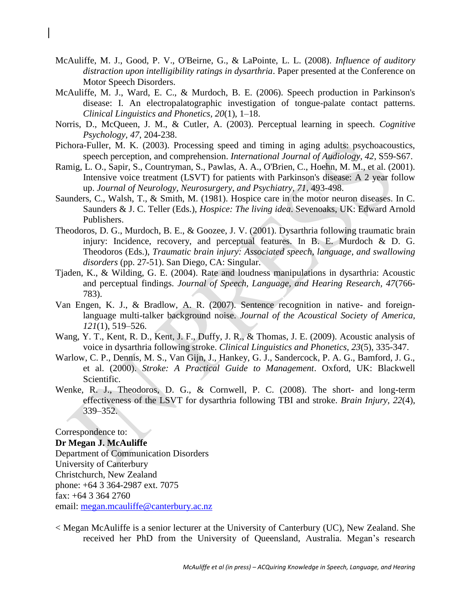- McAuliffe, M. J., Good, P. V., O'Beirne, G., & LaPointe, L. L. (2008). *Influence of auditory distraction upon intelligibility ratings in dysarthria*. Paper presented at the Conference on Motor Speech Disorders.
- McAuliffe, M. J., Ward, E. C., & Murdoch, B. E. (2006). Speech production in Parkinson's disease: I. An electropalatographic investigation of tongue-palate contact patterns. *Clinical Linguistics and Phonetics, 20*(1), 1–18.
- Norris, D., McQueen, J. M., & Cutler, A. (2003). Perceptual learning in speech. *Cognitive Psychology, 47*, 204-238.
- Pichora-Fuller, M. K. (2003). Processing speed and timing in aging adults: psychoacoustics, speech perception, and comprehension. *International Journal of Audiology, 42*, S59-S67.
- Ramig, L. O., Sapir, S., Countryman, S., Pawlas, A. A., O'Brien, C., Hoehn, M. M., et al. (2001). Intensive voice treatment (LSVT) for patients with Parkinson's disease: A 2 year follow up. *Journal of Neurology, Neurosurgery, and Psychiatry, 71*, 493-498.
- Saunders, C., Walsh, T., & Smith, M. (1981). Hospice care in the motor neuron diseases. In C. Saunders & J. C. Teller (Eds.), *Hospice: The living idea*. Sevenoaks, UK: Edward Arnold Publishers.
- Theodoros, D. G., Murdoch, B. E., & Goozee, J. V. (2001). Dysarthria following traumatic brain injury: Incidence, recovery, and perceptual features. In B. E. Murdoch & D. G. Theodoros (Eds.), *Traumatic brain injury: Associated speech, language, and swallowing disorders* (pp. 27-51). San Diego, CA: Singular.
- Tjaden, K., & Wilding, G. E. (2004). Rate and loudness manipulations in dysarthria: Acoustic and perceptual findings. *Journal of Speech, Language, and Hearing Research, 47*(766- 783).
- Van Engen, K. J., & Bradlow, A. R. (2007). Sentence recognition in native- and foreignlanguage multi-talker background noise. *Journal of the Acoustical Society of America, 121*(1), 519–526.
- Wang, Y. T., Kent, R. D., Kent, J. F., Duffy, J. R., & Thomas, J. E. (2009). Acoustic analysis of voice in dysarthria following stroke. *Clinical Linguistics and Phonetics, 23*(5), 335-347.
- Warlow, C. P., Dennis, M. S., Van Gijn, J., Hankey, G. J., Sandercock, P. A. G., Bamford, J. G., et al. (2000). *Stroke: A Practical Guide to Management*. Oxford, UK: Blackwell Scientific.
- Wenke, R. J., Theodoros, D. G., & Cornwell, P. C. (2008). The short- and long-term effectiveness of the LSVT for dysarthria following TBI and stroke. *Brain Injury, 22*(4), 339–352.

Correspondence to: **Dr Megan J. McAuliffe** Department of Communication Disorders University of Canterbury Christchurch, New Zealand phone: +64 3 364-2987 ext. 7075 fax: +64 3 364 2760 email: megan.mcauliffe@canterbury.ac.nz

< Megan McAuliffe is a senior lecturer at the University of Canterbury (UC), New Zealand. She received her PhD from the University of Queensland, Australia. Megan's research